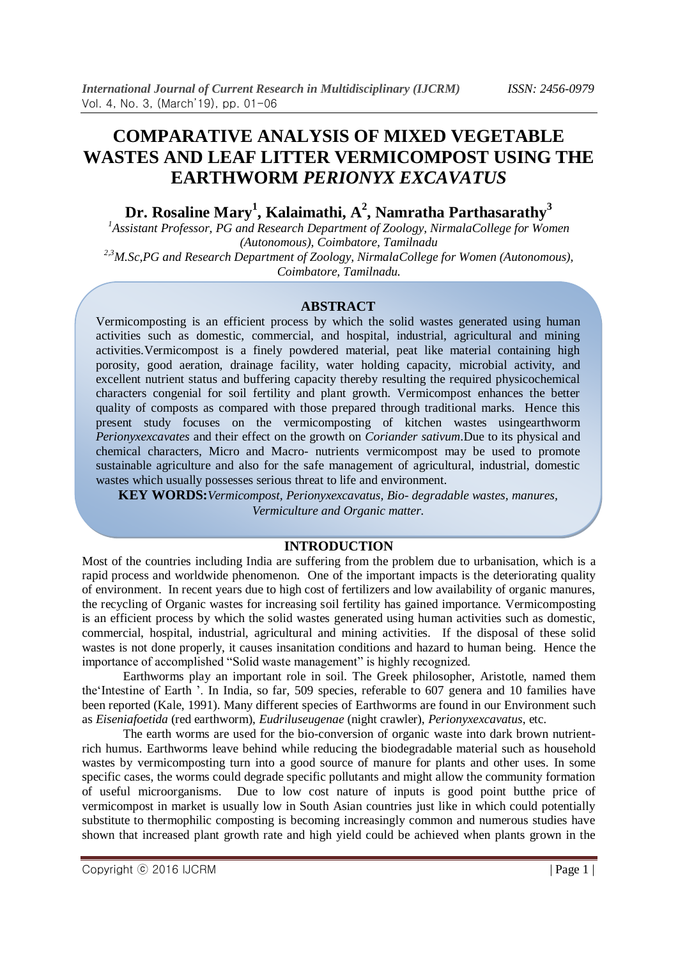# **COMPARATIVE ANALYSIS OF MIXED VEGETABLE WASTES AND LEAF LITTER VERMICOMPOST USING THE EARTHWORM** *PERIONYX EXCAVATUS*

**Dr. Rosaline Mary<sup>1</sup> , Kalaimathi, A<sup>2</sup> , Namratha Parthasarathy<sup>3</sup>**

<sup>1</sup> Assistant Professor, PG and Research Department of Zoology, NirmalaCollege for Women *(Autonomous), Coimbatore, Tamilnadu 2,3M.Sc,PG and Research Department of Zoology, NirmalaCollege for Women (Autonomous),* 

*Coimbatore, Tamilnadu.*

# **ABSTRACT**

Vermicomposting is an efficient process by which the solid wastes generated using human activities such as domestic, commercial, and hospital, industrial, agricultural and mining activities.Vermicompost is a finely powdered material, peat like material containing high porosity, good aeration, drainage facility, water holding capacity, microbial activity, and excellent nutrient status and buffering capacity thereby resulting the required physicochemical characters congenial for soil fertility and plant growth. Vermicompost enhances the better quality of composts as compared with those prepared through traditional marks. Hence this present study focuses on the vermicomposting of kitchen wastes usingearthworm *Perionyxexcavates* and their effect on the growth on *Coriander sativum*.Due to its physical and chemical characters, Micro and Macro- nutrients vermicompost may be used to promote sustainable agriculture and also for the safe management of agricultural, industrial, domestic wastes which usually possesses serious threat to life and environment.

**KEY WORDS:***Vermicompost, Perionyxexcavatus, Bio- degradable wastes, manures, Vermiculture and Organic matter.*

# **INTRODUCTION**

Most of the countries including India are suffering from the problem due to urbanisation, which is a rapid process and worldwide phenomenon. One of the important impacts is the deteriorating quality of environment. In recent years due to high cost of fertilizers and low availability of organic manures, the recycling of Organic wastes for increasing soil fertility has gained importance. Vermicomposting is an efficient process by which the solid wastes generated using human activities such as domestic, commercial, hospital, industrial, agricultural and mining activities. If the disposal of these solid wastes is not done properly, it causes insanitation conditions and hazard to human being. Hence the importance of accomplished "Solid waste management" is highly recognized.

Earthworms play an important role in soil. The Greek philosopher, Aristotle, named them the"Intestine of Earth ". In India, so far, 509 species, referable to 607 genera and 10 families have been reported (Kale, 1991). Many different species of Earthworms are found in our Environment such as *Eiseniafoetida* (red earthworm), *Eudriluseugenae* (night crawler), *Perionyxexcavatus*, etc.

The earth worms are used for the bio-conversion of organic waste into dark brown nutrientrich humus. Earthworms leave behind while reducing the biodegradable material such as household wastes by vermicomposting turn into a good source of manure for plants and other uses. In some specific cases, the worms could degrade specific pollutants and might allow the community formation of useful microorganisms. Due to low cost nature of inputs is good point butthe price of vermicompost in market is usually low in South Asian countries just like in which could potentially substitute to thermophilic composting is becoming increasingly common and numerous studies have shown that increased plant growth rate and high yield could be achieved when plants grown in the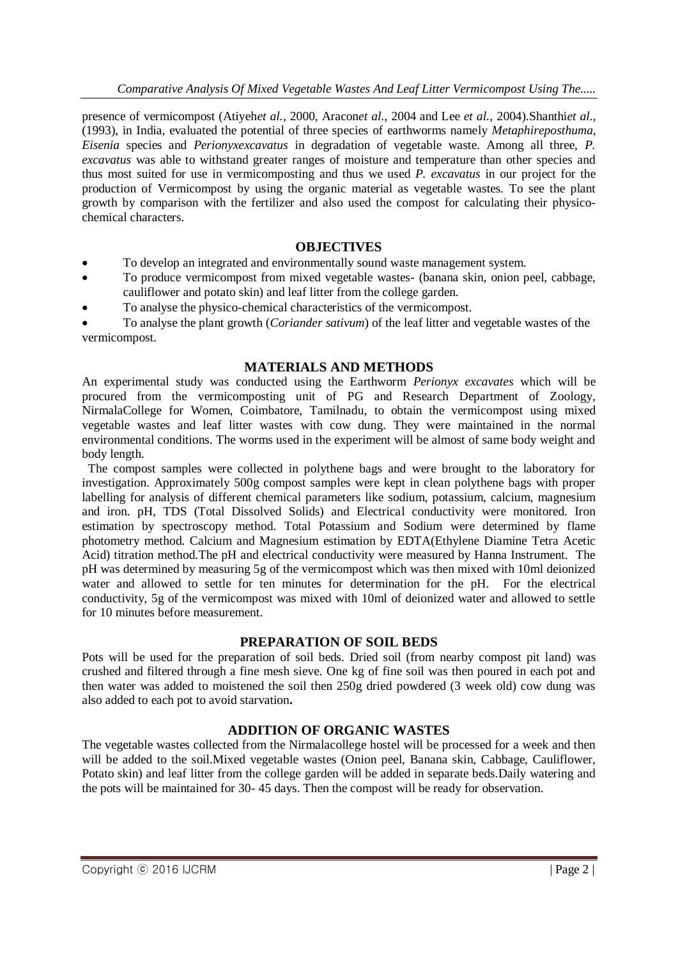presence of vermicompost (Atiyeh*et al.,* 2000, Aracon*et al.,* 2004 and Lee *et al.,* 2004).Shanthi*et al.,* (1993), in India, evaluated the potential of three species of earthworms namely *Metaphireposthuma*, *Eisenia* species and *Perionyxexcavatus* in degradation of vegetable waste. Among all three, *P. excavatus* was able to withstand greater ranges of moisture and temperature than other species and thus most suited for use in vermicomposting and thus we used *P. excavatus* in our project for the production of Vermicompost by using the organic material as vegetable wastes. To see the plant growth by comparison with the fertilizer and also used the compost for calculating their physicochemical characters.

# **OBJECTIVES**

- To develop an integrated and environmentally sound waste management system.
- To produce vermicompost from mixed vegetable wastes- (banana skin, onion peel, cabbage, cauliflower and potato skin) and leaf litter from the college garden.
- To analyse the physico-chemical characteristics of the vermicompost.

 To analyse the plant growth (*Coriander sativum*) of the leaf litter and vegetable wastes of the vermicompost.

#### **MATERIALS AND METHODS**

An experimental study was conducted using the Earthworm *Perionyx excavates* which will be procured from the vermicomposting unit of PG and Research Department of Zoology, NirmalaCollege for Women, Coimbatore, Tamilnadu, to obtain the vermicompost using mixed vegetable wastes and leaf litter wastes with cow dung. They were maintained in the normal environmental conditions. The worms used in the experiment will be almost of same body weight and body length.

 The compost samples were collected in polythene bags and were brought to the laboratory for investigation. Approximately 500g compost samples were kept in clean polythene bags with proper labelling for analysis of different chemical parameters like sodium, potassium, calcium, magnesium and iron. pH, TDS (Total Dissolved Solids) and Electrical conductivity were monitored. Iron estimation by spectroscopy method. Total Potassium and Sodium were determined by flame photometry method. Calcium and Magnesium estimation by EDTA(Ethylene Diamine Tetra Acetic Acid) titration method.The pH and electrical conductivity were measured by Hanna Instrument. The pH was determined by measuring 5g of the vermicompost which was then mixed with 10ml deionized water and allowed to settle for ten minutes for determination for the pH. For the electrical conductivity, 5g of the vermicompost was mixed with 10ml of deionized water and allowed to settle for 10 minutes before measurement.

# **PREPARATION OF SOIL BEDS**

Pots will be used for the preparation of soil beds. Dried soil (from nearby compost pit land) was crushed and filtered through a fine mesh sieve. One kg of fine soil was then poured in each pot and then water was added to moistened the soil then 250g dried powdered (3 week old) cow dung was also added to each pot to avoid starvation**.**

# **ADDITION OF ORGANIC WASTES**

The vegetable wastes collected from the Nirmalacollege hostel will be processed for a week and then will be added to the soil.Mixed vegetable wastes (Onion peel, Banana skin, Cabbage, Cauliflower, Potato skin) and leaf litter from the college garden will be added in separate beds.Daily watering and the pots will be maintained for 30- 45 days. Then the compost will be ready for observation.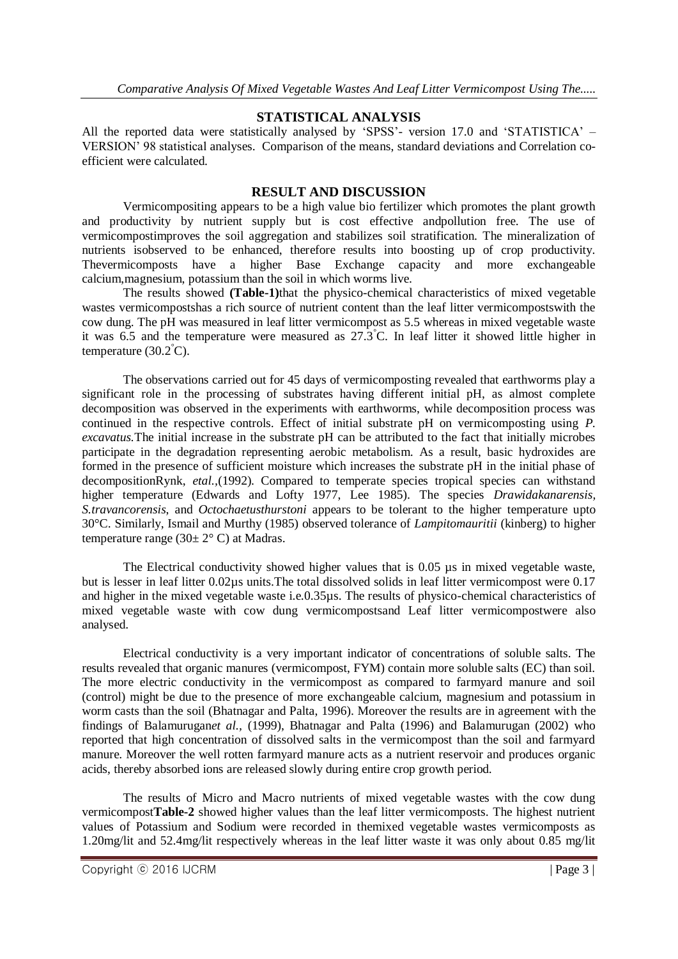# **STATISTICAL ANALYSIS**

All the reported data were statistically analysed by 'SPSS'- version 17.0 and 'STATISTICA'  $-$ VERSION" 98 statistical analyses. Comparison of the means, standard deviations and Correlation coefficient were calculated.

#### **RESULT AND DISCUSSION**

Vermicompositing appears to be a high value bio fertilizer which promotes the plant growth and productivity by nutrient supply but is cost effective andpollution free. The use of vermicompostimproves the soil aggregation and stabilizes soil stratification. The mineralization of nutrients isobserved to be enhanced, therefore results into boosting up of crop productivity. Thevermicomposts have a higher Base Exchange capacity and more exchangeable calcium,magnesium, potassium than the soil in which worms live.

The results showed **(Table-1)**that the physico-chemical characteristics of mixed vegetable wastes vermicompostshas a rich source of nutrient content than the leaf litter vermicompostswith the cow dung. The pH was measured in leaf litter vermicompost as 5.5 whereas in mixed vegetable waste it was 6.5 and the temperature were measured as  $27.3^{\circ}$ C. In leaf litter it showed little higher in temperature  $(30.2^{\circ}C)$ .

The observations carried out for 45 days of vermicomposting revealed that earthworms play a significant role in the processing of substrates having different initial pH, as almost complete decomposition was observed in the experiments with earthworms, while decomposition process was continued in the respective controls. Effect of initial substrate pH on vermicomposting using *P. excavatus.*The initial increase in the substrate pH can be attributed to the fact that initially microbes participate in the degradation representing aerobic metabolism. As a result, basic hydroxides are formed in the presence of sufficient moisture which increases the substrate pH in the initial phase of decompositionRynk, *etal.*,(1992). Compared to temperate species tropical species can withstand higher temperature (Edwards and Lofty 1977, Lee 1985). The species *Drawidakanarensis*, *S.travancorensis*, and *Octochaetusthurstoni* appears to be tolerant to the higher temperature upto 30°C. Similarly, Ismail and Murthy (1985) observed tolerance of *Lampitomauritii* (kinberg) to higher temperature range  $(30 \pm 2^{\circ} \text{ C})$  at Madras.

The Electrical conductivity showed higher values that is 0.05 µs in mixed vegetable waste, but is lesser in leaf litter 0.02µs units.The total dissolved solids in leaf litter vermicompost were 0.17 and higher in the mixed vegetable waste i.e.0.35µs. The results of physico-chemical characteristics of mixed vegetable waste with cow dung vermicompostsand Leaf litter vermicompostwere also analysed.

Electrical conductivity is a very important indicator of concentrations of soluble salts. The results revealed that organic manures (vermicompost, FYM) contain more soluble salts (EC) than soil. The more electric conductivity in the vermicompost as compared to farmyard manure and soil (control) might be due to the presence of more exchangeable calcium, magnesium and potassium in worm casts than the soil (Bhatnagar and Palta, 1996). Moreover the results are in agreement with the findings of Balamurugan*et al.,* (1999), Bhatnagar and Palta (1996) and Balamurugan (2002) who reported that high concentration of dissolved salts in the vermicompost than the soil and farmyard manure. Moreover the well rotten farmyard manure acts as a nutrient reservoir and produces organic acids, thereby absorbed ions are released slowly during entire crop growth period.

The results of Micro and Macro nutrients of mixed vegetable wastes with the cow dung vermicompost**Table-2** showed higher values than the leaf litter vermicomposts. The highest nutrient values of Potassium and Sodium were recorded in themixed vegetable wastes vermicomposts as 1.20mg/lit and 52.4mg/lit respectively whereas in the leaf litter waste it was only about 0.85 mg/lit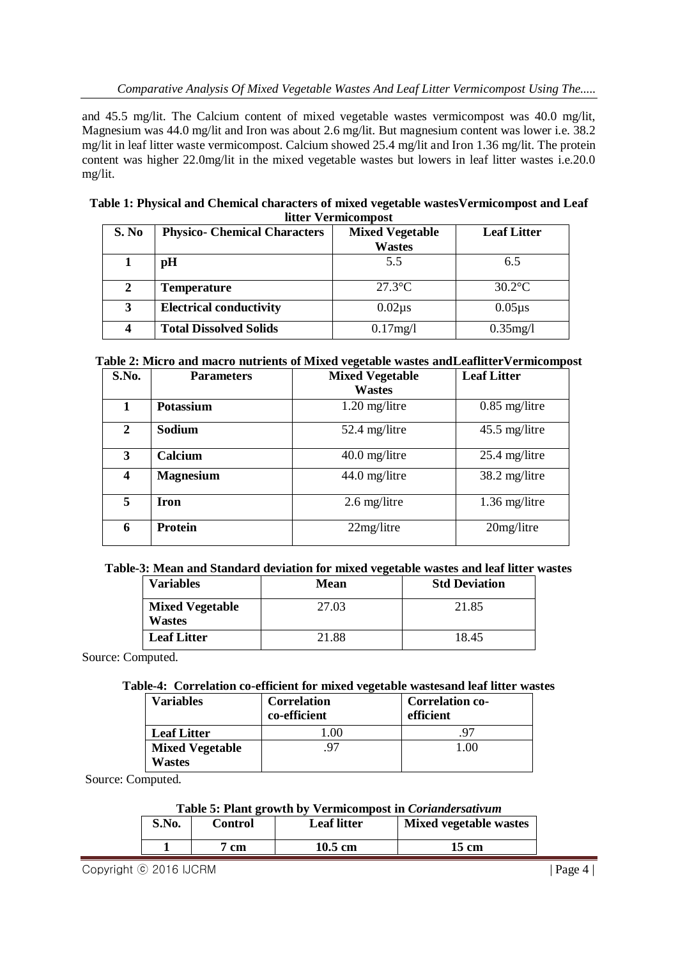and 45.5 mg/lit. The Calcium content of mixed vegetable wastes vermicompost was 40.0 mg/lit, Magnesium was 44.0 mg/lit and Iron was about 2.6 mg/lit. But magnesium content was lower i.e. 38.2 mg/lit in leaf litter waste vermicompost. Calcium showed 25.4 mg/lit and Iron 1.36 mg/lit. The protein content was higher 22.0mg/lit in the mixed vegetable wastes but lowers in leaf litter wastes i.e.20.0 mg/lit.

| Table 1: Physical and Chemical characters of mixed vegetable wastes Vermicompost and Leaf |
|-------------------------------------------------------------------------------------------|
| litter Vermicompost                                                                       |

| S. No | <b>Physico- Chemical Characters</b> | <b>Mixed Vegetable</b> | <b>Leaf Litter</b> |
|-------|-------------------------------------|------------------------|--------------------|
|       |                                     | <b>Wastes</b>          |                    |
|       | pH                                  | 5.5                    | 6.5                |
| 2     | <b>Temperature</b>                  | $27.3$ °C              | $30.2$ °C          |
| 3     | <b>Electrical conductivity</b>      | $0.02\mu s$            | $0.05 \mu s$       |
|       | <b>Total Dissolved Solids</b>       | 0.17mg/1               | $0.35$ mg/l        |

# **Table 2: Micro and macro nutrients of Mixed vegetable wastes andLeaflitterVermicompost**

| S.No.          | <b>Parameters</b> | <b>Mixed Vegetable</b><br><b>Wastes</b> | <b>Leaf Litter</b> |
|----------------|-------------------|-----------------------------------------|--------------------|
|                | Potassium         | $1.20$ mg/litre                         | $0.85$ mg/litre    |
| $\overline{2}$ | Sodium            | 52.4 mg/litre                           | $45.5$ mg/litre    |
| 3              | Calcium           | $40.0$ mg/litre                         | $25.4$ mg/litre    |
| 4              | <b>Magnesium</b>  | $44.0$ mg/litre                         | 38.2 mg/litre      |
| 5 <sup>5</sup> | Iron              | $2.6$ mg/litre                          | $1.36$ mg/litre    |
| 6              | Protein           | 22mg/l                                  | $20$ mg/litre      |

# **Table-3: Mean and Standard deviation for mixed vegetable wastes and leaf litter wastes**

| <b>Variables</b>                        | $\overline{\phantom{a}}$<br>Mean | <b>Std Deviation</b> |
|-----------------------------------------|----------------------------------|----------------------|
| <b>Mixed Vegetable</b><br><b>Wastes</b> | 27.03                            | 21.85                |
| <b>Leaf Litter</b>                      | 21.88                            | 18.45                |

Source: Computed.

#### **Table-4: Correlation co-efficient for mixed vegetable wastesand leaf litter wastes**

| Variables                        | <b>Correlation</b><br>co-efficient | <b>Correlation co-</b><br>efficient |
|----------------------------------|------------------------------------|-------------------------------------|
| <b>Leaf Litter</b>               |                                    |                                     |
| <b>Mixed Vegetable</b><br>Wastes | 97                                 | .00                                 |

Source: Computed.

#### **Table 5: Plant growth by Vermicompost in** *Coriandersativum*

| S.No. | Control | <b>Leaf litter</b> | Mixed vegetable wastes |
|-------|---------|--------------------|------------------------|
|       | cm      | $10.5 \text{ cm}$  | 15 cm                  |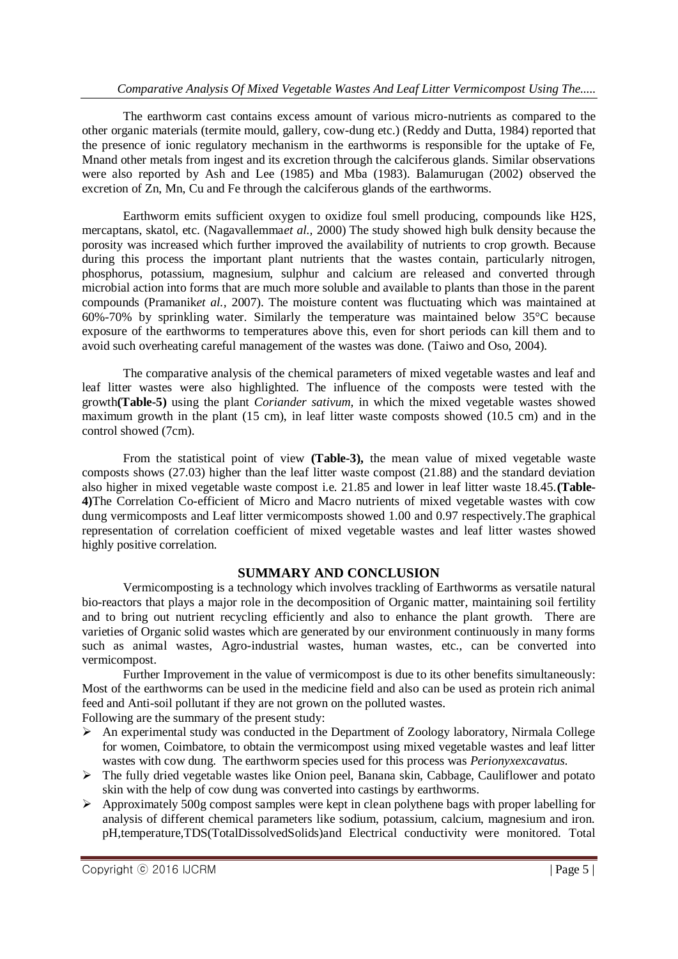The earthworm cast contains excess amount of various micro-nutrients as compared to the other organic materials (termite mould, gallery, cow-dung etc.) (Reddy and Dutta, 1984) reported that the presence of ionic regulatory mechanism in the earthworms is responsible for the uptake of Fe, Mnand other metals from ingest and its excretion through the calciferous glands. Similar observations were also reported by Ash and Lee (1985) and Mba (1983). Balamurugan (2002) observed the excretion of Zn, Mn, Cu and Fe through the calciferous glands of the earthworms.

Earthworm emits sufficient oxygen to oxidize foul smell producing, compounds like H2S, mercaptans, skatol, etc. (Nagavallemma*et al.,* 2000) The study showed high bulk density because the porosity was increased which further improved the availability of nutrients to crop growth. Because during this process the important plant nutrients that the wastes contain, particularly nitrogen, phosphorus, potassium, magnesium, sulphur and calcium are released and converted through microbial action into forms that are much more soluble and available to plants than those in the parent compounds (Pramanik*et al.,* 2007). The moisture content was fluctuating which was maintained at 60%-70% by sprinkling water. Similarly the temperature was maintained below 35°C because exposure of the earthworms to temperatures above this, even for short periods can kill them and to avoid such overheating careful management of the wastes was done. (Taiwo and Oso, 2004).

The comparative analysis of the chemical parameters of mixed vegetable wastes and leaf and leaf litter wastes were also highlighted. The influence of the composts were tested with the growth**(Table-5)** using the plant *Coriander sativum,* in which the mixed vegetable wastes showed maximum growth in the plant (15 cm), in leaf litter waste composts showed (10.5 cm) and in the control showed (7cm).

From the statistical point of view **(Table-3),** the mean value of mixed vegetable waste composts shows (27.03) higher than the leaf litter waste compost (21.88) and the standard deviation also higher in mixed vegetable waste compost i.e. 21.85 and lower in leaf litter waste 18.45.**(Table-4)**The Correlation Co-efficient of Micro and Macro nutrients of mixed vegetable wastes with cow dung vermicomposts and Leaf litter vermicomposts showed 1.00 and 0.97 respectively.The graphical representation of correlation coefficient of mixed vegetable wastes and leaf litter wastes showed highly positive correlation.

# **SUMMARY AND CONCLUSION**

Vermicomposting is a technology which involves trackling of Earthworms as versatile natural bio-reactors that plays a major role in the decomposition of Organic matter, maintaining soil fertility and to bring out nutrient recycling efficiently and also to enhance the plant growth. There are varieties of Organic solid wastes which are generated by our environment continuously in many forms such as animal wastes, Agro-industrial wastes, human wastes, etc., can be converted into vermicompost.

Further Improvement in the value of vermicompost is due to its other benefits simultaneously: Most of the earthworms can be used in the medicine field and also can be used as protein rich animal feed and Anti-soil pollutant if they are not grown on the polluted wastes.

Following are the summary of the present study:

- $\triangleright$  An experimental study was conducted in the Department of Zoology laboratory, Nirmala College for women, Coimbatore, to obtain the vermicompost using mixed vegetable wastes and leaf litter wastes with cow dung. The earthworm species used for this process was *Perionyxexcavatus.*
- The fully dried vegetable wastes like Onion peel, Banana skin, Cabbage, Cauliflower and potato skin with the help of cow dung was converted into castings by earthworms.
- $\triangleright$  Approximately 500g compost samples were kept in clean polythene bags with proper labelling for analysis of different chemical parameters like sodium, potassium, calcium, magnesium and iron. pH,temperature,TDS(TotalDissolvedSolids)and Electrical conductivity were monitored. Total